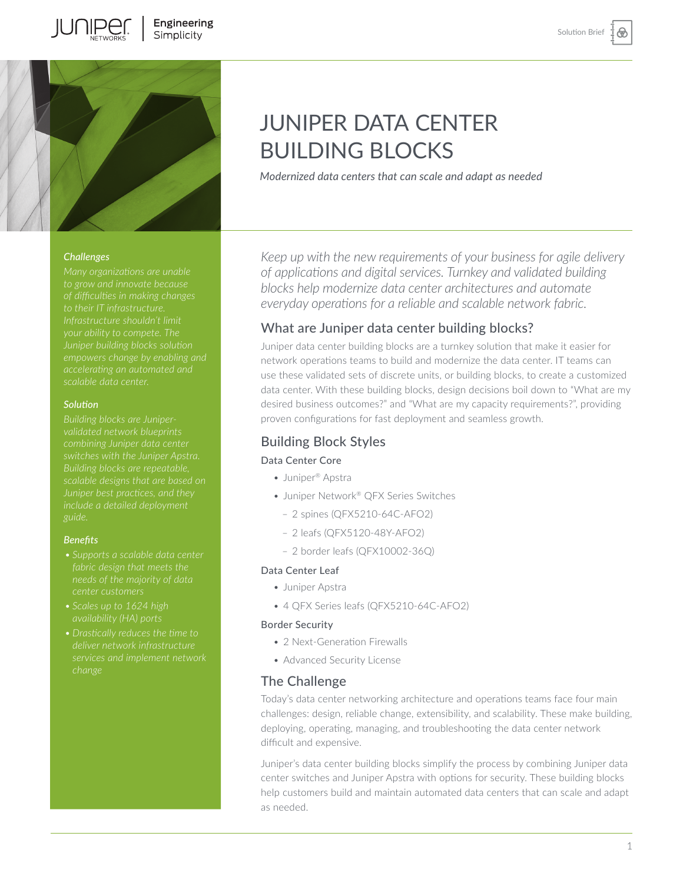

#### *Challenges*

*to their IT infrastructure. Infrastructure shouldn't limit your ability to compete. The Juniper building blocks solution* 

#### *Solution*

*Building blocks are Juniperswitches with the Juniper Apstra. Building blocks are repeatable,* 

#### *Benefits*

- *• Supports a scalable data center center customers*
- 
- *change*

# JUNIPER DATA CENTER BUILDING BLOCKS

*Modernized data centers that can scale and adapt as needed* 

*Keep up with the new requirements of your business for agile delivery of applications and digital services. Turnkey and validated building blocks help modernize data center architectures and automate everyday operations for a reliable and scalable network fabric.* 

## What are Juniper data center building blocks?

Juniper data center building blocks are a turnkey solution that make it easier for network operations teams to build and modernize the data center. IT teams can use these validated sets of discrete units, or building blocks, to create a customized data center. With these building blocks, design decisions boil down to "What are my desired business outcomes?" and "What are my capacity requirements?", providing proven configurations for fast deployment and seamless growth.

# Building Block Styles

## Data Center Core

- Juniper® Apstra
- Juniper Network® QFX Series Switches
	- 2 spines (QFX5210-64C-AFO2)
	- 2 leafs (QFX5120-48Y-AFO2)
	- 2 border leafs (QFX10002-36Q)

## Data Center Leaf

- Juniper Apstra
- 4 QFX Series leafs (QFX5210-64C-AFO2)

#### Border Security

- 2 Next-Generation Firewalls
- Advanced Security License

## The Challenge

Today's data center networking architecture and operations teams face four main challenges: design, reliable change, extensibility, and scalability. These make building, deploying, operating, managing, and troubleshooting the data center network difficult and expensive.

Juniper's data center building blocks simplify the process by combining Juniper data center switches and Juniper Apstra with options for security. These building blocks help customers build and maintain automated data centers that can scale and adapt as needed.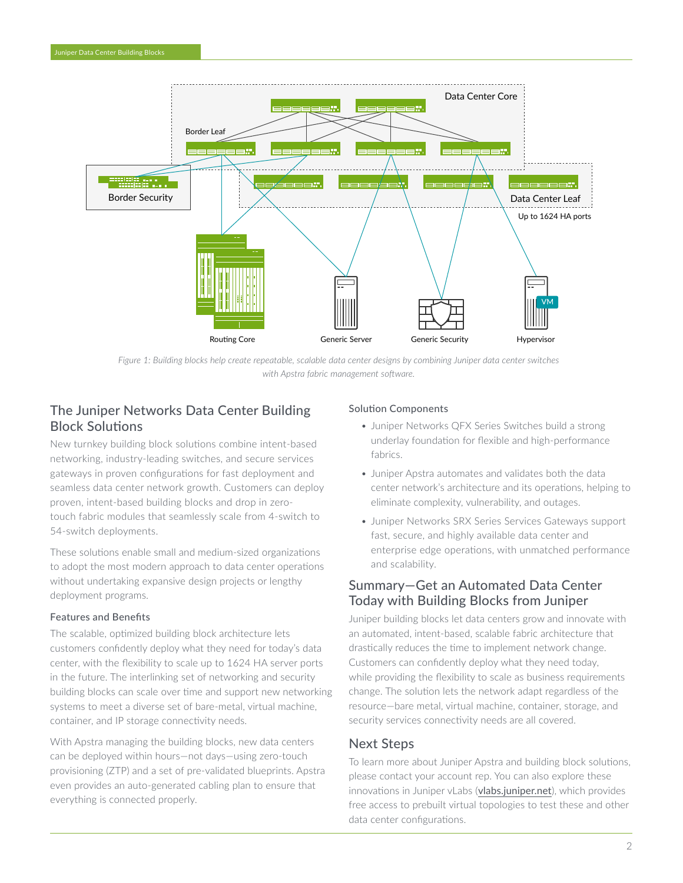

*Figure 1: Building blocks help create repeatable, scalable data center designs by combining Juniper data center switches with Apstra fabric management software.*

# The Juniper Networks Data Center Building Block Solutions

New turnkey building block solutions combine intent-based networking, industry-leading switches, and secure services gateways in proven configurations for fast deployment and seamless data center network growth. Customers can deploy proven, intent-based building blocks and drop in zerotouch fabric modules that seamlessly scale from 4-switch to 54-switch deployments.

These solutions enable small and medium-sized organizations to adopt the most modern approach to data center operations without undertaking expansive design projects or lengthy deployment programs.

## Features and Benefits

The scalable, optimized building block architecture lets customers confidently deploy what they need for today's data center, with the flexibility to scale up to 1624 HA server ports in the future. The interlinking set of networking and security building blocks can scale over time and support new networking systems to meet a diverse set of bare-metal, virtual machine, container, and IP storage connectivity needs.

With Apstra managing the building blocks, new data centers can be deployed within hours—not days—using zero-touch provisioning (ZTP) and a set of pre-validated blueprints. Apstra even provides an auto-generated cabling plan to ensure that everything is connected properly.

#### Solution Components

- Juniper Networks QFX Series Switches build a strong underlay foundation for flexible and high-performance fabrics.
- Juniper Apstra automates and validates both the data center network's architecture and its operations, helping to eliminate complexity, vulnerability, and outages.
- Juniper Networks SRX Series Services Gateways support fast, secure, and highly available data center and enterprise edge operations, with unmatched performance and scalability.

# Summary—Get an Automated Data Center Today with Building Blocks from Juniper

Juniper building blocks let data centers grow and innovate with an automated, intent-based, scalable fabric architecture that drastically reduces the time to implement network change. Customers can confidently deploy what they need today, while providing the flexibility to scale as business requirements change. The solution lets the network adapt regardless of the resource—bare metal, virtual machine, container, storage, and security services connectivity needs are all covered.

## Next Steps

To learn more about Juniper Apstra and building block solutions, please contact your account rep. You can also explore these innovations in Juniper vLabs ([vlabs.juniper.net](http://vlabs.juniper.net)), which provides free access to prebuilt virtual topologies to test these and other data center configurations.